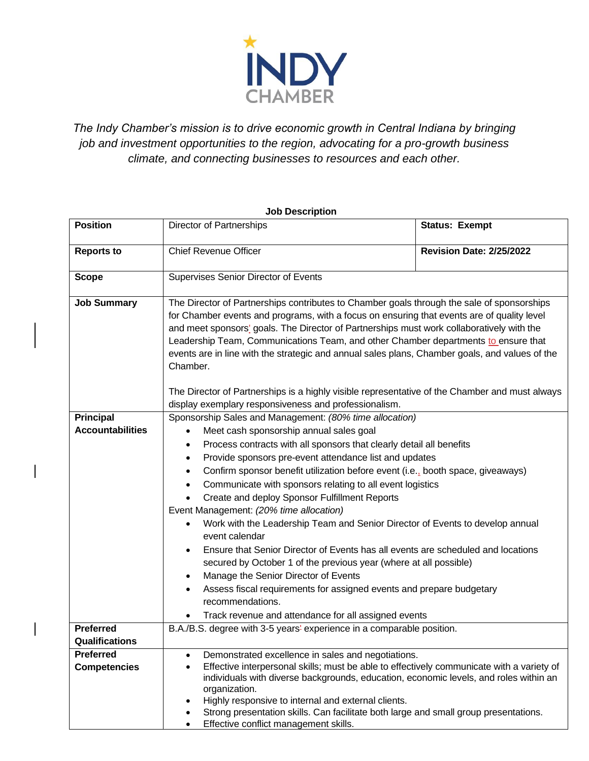

*The Indy Chamber's mission is to drive economic growth in Central Indiana by bringing job and investment opportunities to the region, advocating for a pro-growth business climate, and connecting businesses to resources and each other.*

## **Position** Director of Partnerships **Status: Exempt Status: Exempt Reports to** Chief Revenue Officer **Revision Date:** 2/25/2022 **Scope** Supervises Senior Director of Events **Job Summary** The Director of Partnerships contributes to Chamber goals through the sale of sponsorships for Chamber events and programs, with a focus on ensuring that events are of quality level and meet sponsors' goals. The Director of Partnerships must work collaboratively with the Leadership Team, Communications Team, and other Chamber departments to ensure that events are in line with the strategic and annual sales plans, Chamber goals, and values of the Chamber. The Director of Partnerships is a highly visible representative of the Chamber and must always display exemplary responsiveness and professionalism. **Principal Accountabilities** Sponsorship Sales and Management: *(80% time allocation)* • Meet cash sponsorship annual sales goal • Process contracts with all sponsors that clearly detail all benefits • Provide sponsors pre-event attendance list and updates • Confirm sponsor benefit utilization before event (i.e., booth space, giveaways) • Communicate with sponsors relating to all event logistics • Create and deploy Sponsor Fulfillment Reports Event Management: *(20% time allocation)* • Work with the Leadership Team and Senior Director of Events to develop annual event calendar • Ensure that Senior Director of Events has all events are scheduled and locations secured by October 1 of the previous year (where at all possible) • Manage the Senior Director of Events • Assess fiscal requirements for assigned events and prepare budgetary recommendations. • Track revenue and attendance for all assigned events **Preferred Qualifications** B.A./B.S. degree with 3-5 years' experience in a comparable position. **Preferred Competencies** • Demonstrated excellence in sales and negotiations. • Effective interpersonal skills; must be able to effectively communicate with a variety of individuals with diverse backgrounds, education, economic levels, and roles within an organization. • Highly responsive to internal and external clients. • Strong presentation skills. Can facilitate both large and small group presentations.

• Effective conflict management skills.

## **Job Description**